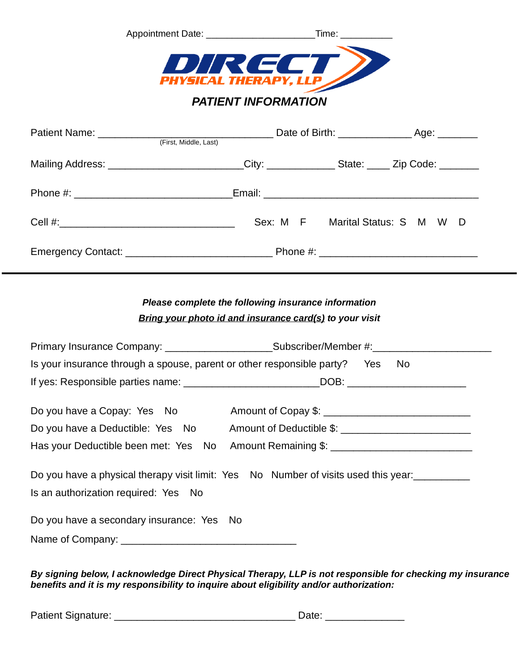| DIRECT                                                                                              |                                     |
|-----------------------------------------------------------------------------------------------------|-------------------------------------|
| <b>PHYSICAL THERAPY, LLP</b><br><b>PATIENT INFORMATION</b>                                          |                                     |
|                                                                                                     |                                     |
| (First, Middle, Last)                                                                               |                                     |
| Mailing Address: __________________________City: _______________State: _____ Zip Code: ____________ |                                     |
|                                                                                                     |                                     |
|                                                                                                     | Sex: M F Marital Status: S M W<br>D |

Emergency Contact: \_\_\_\_\_\_\_\_\_\_\_\_\_\_\_\_\_\_\_\_\_\_\_\_\_\_ Phone #: \_\_\_\_\_\_\_\_\_\_\_\_\_\_\_\_\_\_\_\_\_\_\_\_\_\_\_\_

## *Please complete the following insurance information Bring your photo id and insurance card(s) to your visit*

|                                                                               | Primary Insurance Company: __________________________Subscriber/Member #:___________________________                                                                   |
|-------------------------------------------------------------------------------|------------------------------------------------------------------------------------------------------------------------------------------------------------------------|
| Is your insurance through a spouse, parent or other responsible party? Yes No |                                                                                                                                                                        |
|                                                                               |                                                                                                                                                                        |
|                                                                               | Do you have a Copay: Yes No Amount of Copay \$: _________________________________<br>Do you have a Deductible: Yes No Amount of Deductible \$: _______________________ |
|                                                                               | Has your Deductible been met: Yes No Amount Remaining \$: _______________________                                                                                      |
| Is an authorization required: Yes No                                          | Do you have a physical therapy visit limit: Yes No Number of visits used this year:                                                                                    |
| Do you have a secondary insurance: Yes No                                     |                                                                                                                                                                        |

*By signing below, I acknowledge Direct Physical Therapy, LLP is not responsible for checking my insurance benefits and it is my responsibility to inquire about eligibility and/or authorization:*

Patient Signature: \_\_\_\_\_\_\_\_\_\_\_\_\_\_\_\_\_\_\_\_\_\_\_\_\_\_\_\_\_\_\_\_ Date: \_\_\_\_\_\_\_\_\_\_\_\_\_\_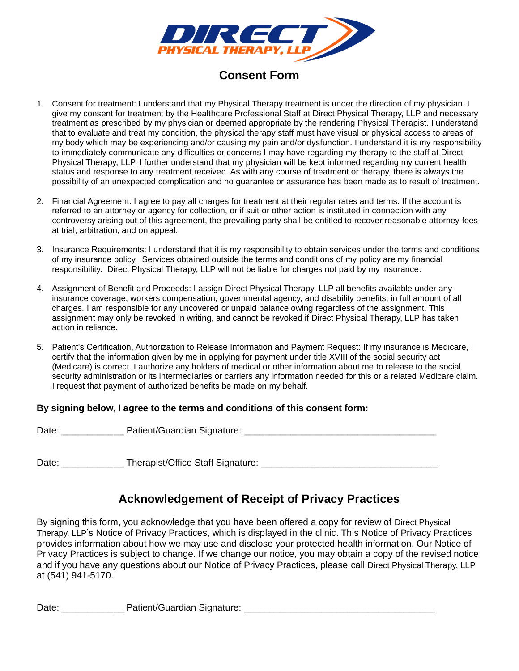

### **Consent Form**

- 1. Consent for treatment: I understand that my Physical Therapy treatment is under the direction of my physician. I give my consent for treatment by the Healthcare Professional Staff at Direct Physical Therapy, LLP and necessary treatment as prescribed by my physician or deemed appropriate by the rendering Physical Therapist. I understand that to evaluate and treat my condition, the physical therapy staff must have visual or physical access to areas of my body which may be experiencing and/or causing my pain and/or dysfunction. I understand it is my responsibility to immediately communicate any difficulties or concerns I may have regarding my therapy to the staff at Direct Physical Therapy, LLP. I further understand that my physician will be kept informed regarding my current health status and response to any treatment received. As with any course of treatment or therapy, there is always the possibility of an unexpected complication and no guarantee or assurance has been made as to result of treatment.
- 2. Financial Agreement: I agree to pay all charges for treatment at their regular rates and terms. If the account is referred to an attorney or agency for collection, or if suit or other action is instituted in connection with any controversy arising out of this agreement, the prevailing party shall be entitled to recover reasonable attorney fees at trial, arbitration, and on appeal.
- 3. Insurance Requirements: I understand that it is my responsibility to obtain services under the terms and conditions of my insurance policy. Services obtained outside the terms and conditions of my policy are my financial responsibility. Direct Physical Therapy, LLP will not be liable for charges not paid by my insurance.
- 4. Assignment of Benefit and Proceeds: I assign Direct Physical Therapy, LLP all benefits available under any insurance coverage, workers compensation, governmental agency, and disability benefits, in full amount of all charges. I am responsible for any uncovered or unpaid balance owing regardless of the assignment. This assignment may only be revoked in writing, and cannot be revoked if Direct Physical Therapy, LLP has taken action in reliance.
- 5. Patient's Certification, Authorization to Release Information and Payment Request: If my insurance is Medicare, I certify that the information given by me in applying for payment under title XVIII of the social security act (Medicare) is correct. I authorize any holders of medical or other information about me to release to the social security administration or its intermediaries or carriers any information needed for this or a related Medicare claim. I request that payment of authorized benefits be made on my behalf.

#### **By signing below, I agree to the terms and conditions of this consent form:**

Date: \_\_\_\_\_\_\_\_\_\_\_\_ Patient/Guardian Signature: \_\_\_\_\_\_\_\_\_\_\_\_\_\_\_\_\_\_\_\_\_\_\_\_\_\_\_\_\_\_\_\_\_\_\_\_\_

Date: Therapist/Office Staff Signature:  $\Box$ 

## **Acknowledgement of Receipt of Privacy Practices**

By signing this form, you acknowledge that you have been offered a copy for review of Direct Physical Therapy, LLP's Notice of Privacy Practices, which is displayed in the clinic. This Notice of Privacy Practices provides information about how we may use and disclose your protected health information. Our Notice of Privacy Practices is subject to change. If we change our notice, you may obtain a copy of the revised notice and if you have any questions about our Notice of Privacy Practices, please call Direct Physical Therapy, LLP at (541) 941-5170.

Date: etc. extent/Guardian Signature:  $\Box$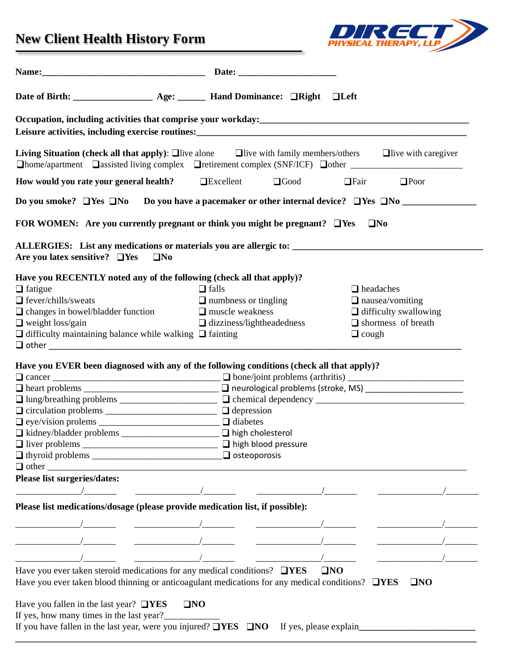# **New Client Health History Form**



|                                                                     | Leisure activities, including exercise routines:<br><u>Leisure activities, including exercise routines:</u>                                                                                                                                         |                            |                              |  |
|---------------------------------------------------------------------|-----------------------------------------------------------------------------------------------------------------------------------------------------------------------------------------------------------------------------------------------------|----------------------------|------------------------------|--|
|                                                                     | <b>Living Situation (check all that apply):</b> $\square$ live alone $\square$ live with family members/others $\square$ live with caregiver<br>□home/apartment □assisted living complex □retirement complex (SNF/ICF) □other _____________________ |                            |                              |  |
|                                                                     | How would you rate your general health? $\Box$ Excellent $\Box$ Good                                                                                                                                                                                | $\Box$ Fair                | $\Box$ Poor                  |  |
|                                                                     | Do you smoke? $\Box$ Yes $\Box$ No $\Box$ Do you have a pacemaker or other internal device? $\Box$ Yes $\Box$ No $\Box$                                                                                                                             |                            |                              |  |
|                                                                     | FOR WOMEN: Are you currently pregnant or think you might be pregnant? $\Box$ Yes                                                                                                                                                                    | $\Box$ No                  |                              |  |
|                                                                     |                                                                                                                                                                                                                                                     |                            |                              |  |
| Are you latex sensitive? $\Box$ Yes $\Box$ No                       |                                                                                                                                                                                                                                                     |                            |                              |  |
|                                                                     | Have you RECENTLY noted any of the following (check all that apply)?                                                                                                                                                                                |                            |                              |  |
| $\Box$ fatigue                                                      | $\Box$ falls                                                                                                                                                                                                                                        | $\Box$ headaches           |                              |  |
| $\Box$ fever/chills/sweats                                          | $\Box$ numbness or tingling                                                                                                                                                                                                                         |                            | $\Box$ nausea/vomiting       |  |
| $\Box$ changes in bowel/bladder function                            | $\Box$ muscle weakness                                                                                                                                                                                                                              |                            | $\Box$ difficulty swallowing |  |
| $\Box$ weight loss/gain                                             | $\Box$ dizziness/lightheadedness                                                                                                                                                                                                                    | $\Box$ shortness of breath |                              |  |
| $\Box$ difficulty maintaining balance while walking $\Box$ fainting |                                                                                                                                                                                                                                                     | $\Box$ cough               |                              |  |
|                                                                     |                                                                                                                                                                                                                                                     |                            |                              |  |
|                                                                     |                                                                                                                                                                                                                                                     |                            |                              |  |
|                                                                     |                                                                                                                                                                                                                                                     |                            |                              |  |
|                                                                     | Have you EVER been diagnosed with any of the following conditions (check all that apply)?                                                                                                                                                           |                            |                              |  |
|                                                                     |                                                                                                                                                                                                                                                     |                            |                              |  |
|                                                                     |                                                                                                                                                                                                                                                     |                            |                              |  |
|                                                                     |                                                                                                                                                                                                                                                     |                            |                              |  |
|                                                                     |                                                                                                                                                                                                                                                     |                            |                              |  |
|                                                                     |                                                                                                                                                                                                                                                     |                            |                              |  |
|                                                                     |                                                                                                                                                                                                                                                     |                            |                              |  |
| □ kidney/bladder problems ______________________ □ high cholesterol |                                                                                                                                                                                                                                                     |                            |                              |  |
|                                                                     |                                                                                                                                                                                                                                                     |                            |                              |  |
|                                                                     |                                                                                                                                                                                                                                                     |                            |                              |  |
|                                                                     |                                                                                                                                                                                                                                                     |                            |                              |  |
| Please list surgeries/dates:                                        |                                                                                                                                                                                                                                                     |                            |                              |  |
|                                                                     |                                                                                                                                                                                                                                                     |                            |                              |  |
|                                                                     | Please list medications/dosage (please provide medication list, if possible):                                                                                                                                                                       |                            |                              |  |
|                                                                     |                                                                                                                                                                                                                                                     |                            |                              |  |
|                                                                     |                                                                                                                                                                                                                                                     |                            |                              |  |
|                                                                     |                                                                                                                                                                                                                                                     |                            |                              |  |
|                                                                     | Have you ever taken steroid medications for any medical conditions? $\Box$ <b>YES</b>                                                                                                                                                               | $\square$ NO               |                              |  |
|                                                                     | Have you ever taken blood thinning or anticoagulant medications for any medical conditions? $\Box$ <b>YES</b>                                                                                                                                       |                            | $\square$ NO                 |  |

**\_\_\_\_\_\_\_\_\_\_\_\_\_\_\_\_\_\_\_\_\_\_\_\_\_\_\_\_\_\_\_\_\_\_\_\_\_\_\_\_\_\_\_\_\_\_\_\_\_\_\_\_\_\_\_\_\_\_\_\_\_\_\_\_\_\_\_\_\_\_\_\_\_\_\_\_\_\_\_\_\_\_\_\_\_\_\_\_\_\_\_\_\_\_\_\_\_\_\_**